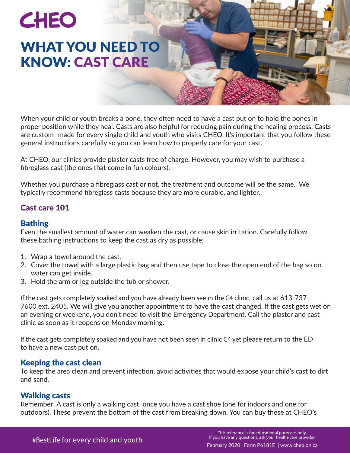# **CHEO** WHAT YOU NEED TO KNOW: CAST CARE

When your child or youth breaks a bone, they often need to have a cast put on to hold the bones in proper position while they heal. Casts are also helpful for reducing pain during the healing process. Casts are custom- made for every single child and youth who visits CHEO. It's important that you follow these general instructions carefully so you can learn how to properly care for your cast.

At CHEO, our clinics provide plaster casts free of charge. However, you may wish to purchase a fibreglass cast (the ones that come in fun colours).

Whether you purchase a fibreglass cast or not, the treatment and outcome will be the same. We typically recommend fibreglass casts because they are more durable, and lighter.

# Cast care 101

## Bathing

Even the smallest amount of water can weaken the cast, or cause skin irritation. Carefully follow these bathing instructions to keep the cast as dry as possible:

- 1. Wrap a towel around the cast.
- 2. Cover the towel with a large plastic bag and then use tape to close the open end of the bag so no water can get inside.
- 3. Hold the arm or leg outside the tub or shower.

If the cast gets completely soaked and you have already been see in the C4 clinic, call us at 613-737- 7600 ext. 2405. We will give you another appointment to have the cast changed. If the cast gets wet on an evening or weekend, you don't need to visit the Emergency Department. Call the plaster and cast clinic as soon as it reopens on Monday morning.

If the cast gets completely soaked and you have not been seen in clinic C4 yet please return to the ED to have a new cast put on.

## Keeping the cast clean

To keep the area clean and prevent infection, avoid activities that would expose your child's cast to dirt and sand.

## Walking casts

Remember! A cast is only a walking cast once you have a cast shoe (one for indoors and one for outdoors). These prevent the bottom of the cast from breaking down. You can buy these at CHEO's